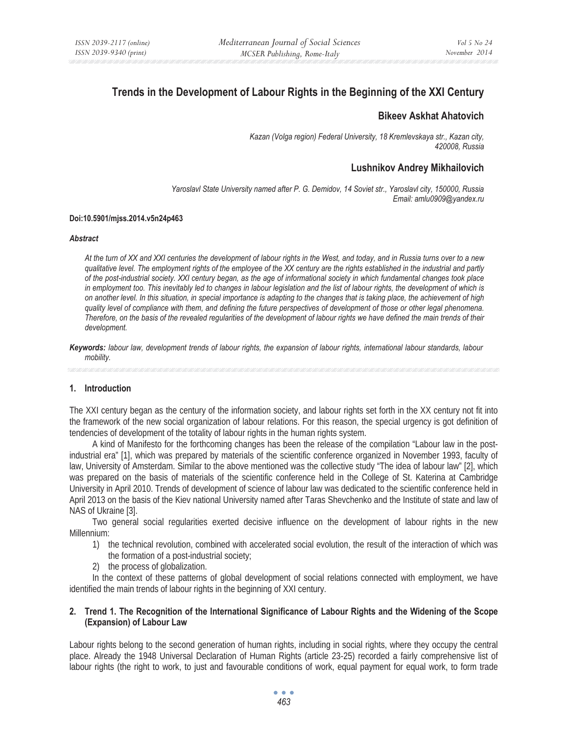# **Trends in the Development of Labour Rights in the Beginning of the XXI Century**

# **Bikeev Askhat Ahatovich**

*Kazan (Volga region) Federal University, 18 Kremlevskaya str., Kazan city, 420008, Russia* 

# **Lushnikov Andrey Mikhailovich**

*Yaroslavl State University named after P. G. Demidov, 14 Soviet str., Yaroslavl city, 150000, Russia Email: amlu0909@yandex.ru* 

### **Doi:10.5901/mjss.2014.v5n24p463**

#### *Abstract*

*At the turn of XX and XXI centuries the development of labour rights in the West, and today, and in Russia turns over to a new qualitative level. The employment rights of the employee of the XX century are the rights established in the industrial and partly of the post-industrial society. XXI century began, as the age of informational society in which fundamental changes took place in employment too. This inevitably led to changes in labour legislation and the list of labour rights, the development of which is on another level. In this situation, in special importance is adapting to the changes that is taking place, the achievement of high quality level of compliance with them, and defining the future perspectives of development of those or other legal phenomena. Therefore, on the basis of the revealed regularities of the development of labour rights we have defined the main trends of their development.* 

*Keywords: labour law, development trends of labour rights, the expansion of labour rights, international labour standards, labour mobility.* 

#### **1. Introduction**

The XXI century began as the century of the information society, and labour rights set forth in the XX century not fit into the framework of the new social organization of labour relations. For this reason, the special urgency is got definition of tendencies of development of the totality of labour rights in the human rights system.

A kind of Manifesto for the forthcoming changes has been the release of the compilation "Labour law in the postindustrial era" [1], which was prepared by materials of the scientific conference organized in November 1993, faculty of law, University of Amsterdam. Similar to the above mentioned was the collective study "The idea of labour law" [2], which was prepared on the basis of materials of the scientific conference held in the College of St. Katerina at Cambridge University in April 2010. Trends of development of science of labour law was dedicated to the scientific conference held in April 2013 on the basis of the Kiev national University named after Taras Shevchenko and the Institute of state and law of NAS of Ukraine [3].

Two general social regularities exerted decisive influence on the development of labour rights in the new Millennium:

- 1) the technical revolution, combined with accelerated social evolution, the result of the interaction of which was the formation of a post-industrial society;
- 2) the process of globalization.

In the context of these patterns of global development of social relations connected with employment, we have identified the main trends of labour rights in the beginning of XXI century.

### **2. Trend 1. The Recognition of the International Significance of Labour Rights and the Widening of the Scope (Expansion) of Labour Law**

Labour rights belong to the second generation of human rights, including in social rights, where they occupy the central place. Already the 1948 Universal Declaration of Human Rights (article 23-25) recorded a fairly comprehensive list of labour rights (the right to work, to just and favourable conditions of work, equal payment for equal work, to form trade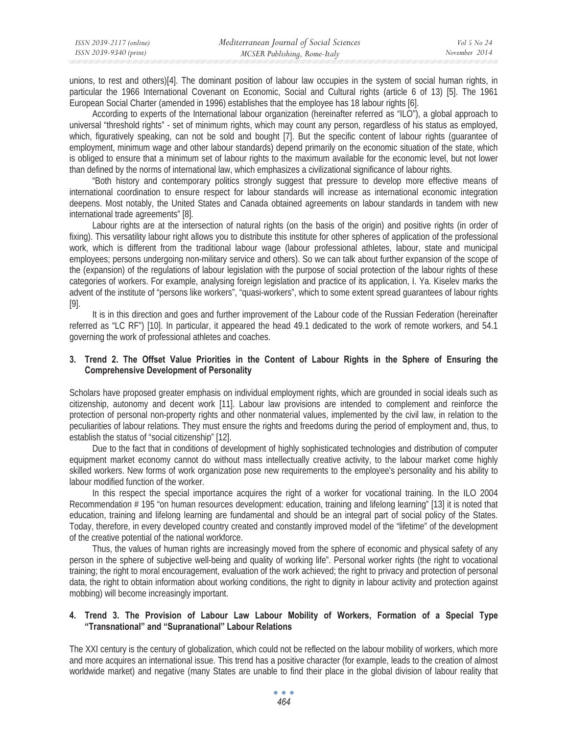| ISSN 2039-2117 (online) | Mediterranean Journal of Social Sciences | Vol 5 No 24   |
|-------------------------|------------------------------------------|---------------|
| ISSN 2039-9340 (print)  | MCSER Publishing, Rome-Italy             | November 2014 |

unions, to rest and others)[4]. The dominant position of labour law occupies in the system of social human rights, in particular the 1966 International Covenant on Economic, Social and Cultural rights (article 6 of 13) [5]. The 1961 European Social Charter (amended in 1996) establishes that the employee has 18 labour rights [6].

According to experts of the International labour organization (hereinafter referred as "ILO"), a global approach to universal "threshold rights" - set of minimum rights, which may count any person, regardless of his status as employed, which, figuratively speaking, can not be sold and bought [7]. But the specific content of labour rights (guarantee of employment, minimum wage and other labour standards) depend primarily on the economic situation of the state, which is obliged to ensure that a minimum set of labour rights to the maximum available for the economic level, but not lower than defined by the norms of international law, which emphasizes a civilizational significance of labour rights.

"Both history and contemporary politics strongly suggest that pressure to develop more effective means of international coordination to ensure respect for labour standards will increase as international economic integration deepens. Most notably, the United States and Canada obtained agreements on labour standards in tandem with new international trade agreements" [8].

Labour rights are at the intersection of natural rights (on the basis of the origin) and positive rights (in order of fixing). This versatility labour right allows you to distribute this institute for other spheres of application of the professional work, which is different from the traditional labour wage (labour professional athletes, labour, state and municipal employees; persons undergoing non-military service and others). So we can talk about further expansion of the scope of the (expansion) of the regulations of labour legislation with the purpose of social protection of the labour rights of these categories of workers. For example, analysing foreign legislation and practice of its application, I. Ya. Kiselev marks the advent of the institute of "persons like workers", "quasi-workers", which to some extent spread guarantees of labour rights [9].

It is in this direction and goes and further improvement of the Labour code of the Russian Federation (hereinafter referred as "LC RF") [10]. In particular, it appeared the head 49.1 dedicated to the work of remote workers, and 54.1 governing the work of professional athletes and coaches.

### **3. Trend 2. The Offset Value Priorities in the Content of Labour Rights in the Sphere of Ensuring the Comprehensive Development of Personality**

Scholars have proposed greater emphasis on individual employment rights, which are grounded in social ideals such as citizenship, autonomy and decent work [11]. Labour law provisions are intended to complement and reinforce the protection of personal non-property rights and other nonmaterial values, implemented by the civil law, in relation to the peculiarities of labour relations. They must ensure the rights and freedoms during the period of employment and, thus, to establish the status of "social citizenship" [12].

Due to the fact that in conditions of development of highly sophisticated technologies and distribution of computer equipment market economy cannot do without mass intellectually creative activity, to the labour market come highly skilled workers. New forms of work organization pose new requirements to the employee's personality and his ability to labour modified function of the worker.

In this respect the special importance acquires the right of a worker for vocational training. In the ILO 2004 Recommendation # 195 "on human resources development: education, training and lifelong learning" [13] it is noted that education, training and lifelong learning are fundamental and should be an integral part of social policy of the States. Today, therefore, in every developed country created and constantly improved model of the "lifetime" of the development of the creative potential of the national workforce.

Thus, the values of human rights are increasingly moved from the sphere of economic and physical safety of any person in the sphere of subjective well-being and quality of working life". Personal worker rights (the right to vocational training; the right to moral encouragement, evaluation of the work achieved; the right to privacy and protection of personal data, the right to obtain information about working conditions, the right to dignity in labour activity and protection against mobbing) will become increasingly important.

# **4. Trend 3. The Provision of Labour Law Labour Mobility of Workers, Formation of a Special Type "Transnational" and "Supranational" Labour Relations**

The XXI century is the century of globalization, which could not be reflected on the labour mobility of workers, which more and more acquires an international issue. This trend has a positive character (for example, leads to the creation of almost worldwide market) and negative (many States are unable to find their place in the global division of labour reality that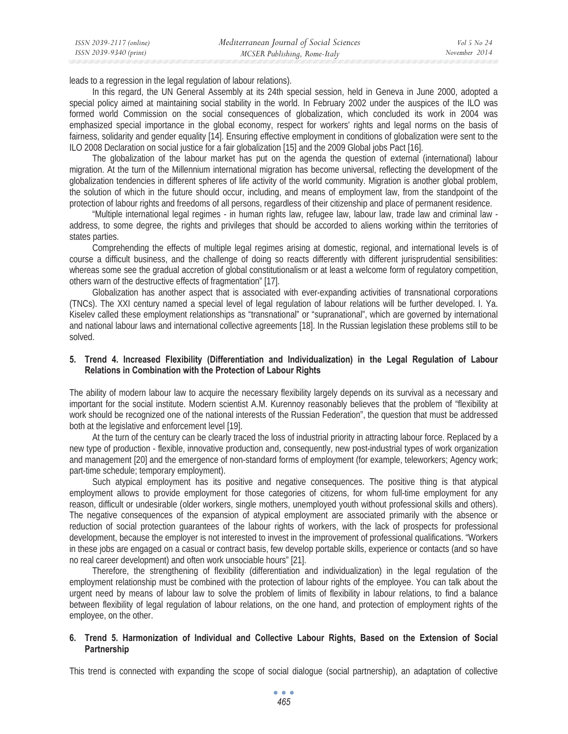leads to a regression in the legal regulation of labour relations).

In this regard, the UN General Assembly at its 24th special session, held in Geneva in June 2000, adopted a special policy aimed at maintaining social stability in the world. In February 2002 under the auspices of the ILO was formed world Commission on the social consequences of globalization, which concluded its work in 2004 was emphasized special importance in the global economy, respect for workers' rights and legal norms on the basis of fairness, solidarity and gender equality [14]. Ensuring effective employment in conditions of globalization were sent to the ILO 2008 Declaration on social justice for a fair globalization [15] and the 2009 Global jobs Pact [16].

The globalization of the labour market has put on the agenda the question of external (international) labour migration. At the turn of the Millennium international migration has become universal, reflecting the development of the globalization tendencies in different spheres of life activity of the world community. Migration is another global problem, the solution of which in the future should occur, including, and means of employment law, from the standpoint of the protection of labour rights and freedoms of all persons, regardless of their citizenship and place of permanent residence.

"Multiple international legal regimes - in human rights law, refugee law, labour law, trade law and criminal law address, to some degree, the rights and privileges that should be accorded to aliens working within the territories of states parties.

Comprehending the effects of multiple legal regimes arising at domestic, regional, and international levels is of course a difficult business, and the challenge of doing so reacts differently with different jurisprudential sensibilities: whereas some see the gradual accretion of global constitutionalism or at least a welcome form of regulatory competition, others warn of the destructive effects of fragmentation" [17].

Globalization has another aspect that is associated with ever-expanding activities of transnational corporations (TNCs). The XXI century named a special level of legal regulation of labour relations will be further developed. I. Ya. Kiselev called these employment relationships as "transnational" or "supranational", which are governed by international and national labour laws and international collective agreements [18]. In the Russian legislation these problems still to be solved.

# **5. Trend 4. Increased Flexibility (Differentiation and Individualization) in the Legal Regulation of Labour Relations in Combination with the Protection of Labour Rights**

The ability of modern labour law to acquire the necessary flexibility largely depends on its survival as a necessary and important for the social institute. Modern scientist A.M. Kurennoy reasonably believes that the problem of "flexibility at work should be recognized one of the national interests of the Russian Federation", the question that must be addressed both at the legislative and enforcement level [19].

At the turn of the century can be clearly traced the loss of industrial priority in attracting labour force. Replaced by a new type of production - flexible, innovative production and, consequently, new post-industrial types of work organization and management [20] and the emergence of non-standard forms of employment (for example, teleworkers; Agency work; part-time schedule; temporary employment).

Such atypical employment has its positive and negative consequences. The positive thing is that atypical employment allows to provide employment for those categories of citizens, for whom full-time employment for any reason, difficult or undesirable (older workers, single mothers, unemployed youth without professional skills and others). The negative consequences of the expansion of atypical employment are associated primarily with the absence or reduction of social protection guarantees of the labour rights of workers, with the lack of prospects for professional development, because the employer is not interested to invest in the improvement of professional qualifications. "Workers in these jobs are engaged on a casual or contract basis, few develop portable skills, experience or contacts (and so have no real career development) and often work unsociable hours" [21].

Therefore, the strengthening of flexibility (differentiation and individualization) in the legal regulation of the employment relationship must be combined with the protection of labour rights of the employee. You can talk about the urgent need by means of labour law to solve the problem of limits of flexibility in labour relations, to find a balance between flexibility of legal regulation of labour relations, on the one hand, and protection of employment rights of the employee, on the other.

### **6. Trend 5. Harmonization of Individual and Collective Labour Rights, Based on the Extension of Social Partnership**

This trend is connected with expanding the scope of social dialogue (social partnership), an adaptation of collective

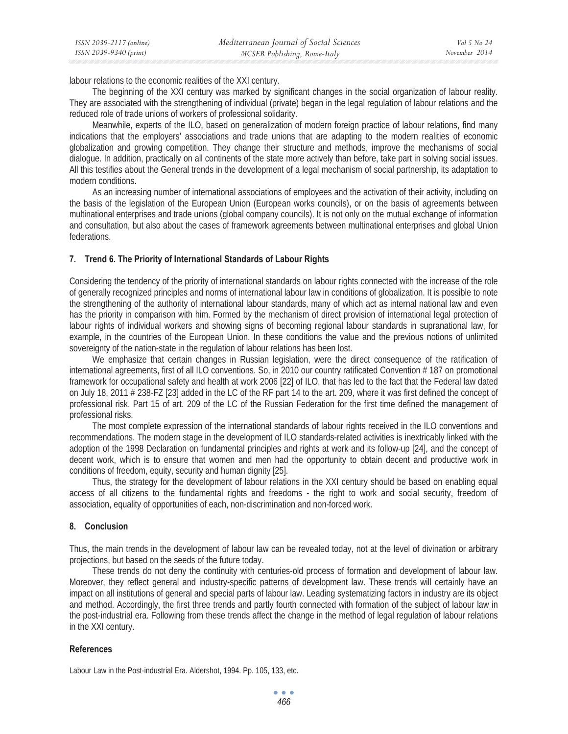labour relations to the economic realities of the XXI century.

The beginning of the XXI century was marked by significant changes in the social organization of labour reality. They are associated with the strengthening of individual (private) began in the legal regulation of labour relations and the reduced role of trade unions of workers of professional solidarity.

Meanwhile, experts of the ILO, based on generalization of modern foreign practice of labour relations, find many indications that the employers' associations and trade unions that are adapting to the modern realities of economic globalization and growing competition. They change their structure and methods, improve the mechanisms of social dialogue. In addition, practically on all continents of the state more actively than before, take part in solving social issues. All this testifies about the General trends in the development of a legal mechanism of social partnership, its adaptation to modern conditions.

As an increasing number of international associations of employees and the activation of their activity, including on the basis of the legislation of the European Union (European works councils), or on the basis of agreements between multinational enterprises and trade unions (global company councils). It is not only on the mutual exchange of information and consultation, but also about the cases of framework agreements between multinational enterprises and global Union federations.

### **7. Trend 6. The Priority of International Standards of Labour Rights**

Considering the tendency of the priority of international standards on labour rights connected with the increase of the role of generally recognized principles and norms of international labour law in conditions of globalization. It is possible to note the strengthening of the authority of international labour standards, many of which act as internal national law and even has the priority in comparison with him. Formed by the mechanism of direct provision of international legal protection of labour rights of individual workers and showing signs of becoming regional labour standards in supranational law, for example, in the countries of the European Union. In these conditions the value and the previous notions of unlimited sovereignty of the nation-state in the regulation of labour relations has been lost.

We emphasize that certain changes in Russian legislation, were the direct consequence of the ratification of international agreements, first of all ILO conventions. So, in 2010 our country ratificated Convention # 187 on promotional framework for occupational safety and health at work 2006 [22] of ILO, that has led to the fact that the Federal law dated on July 18, 2011 # 238-FZ [23] added in the LC of the RF part 14 to the art. 209, where it was first defined the concept of professional risk. Part 15 of art. 209 of the LC of the Russian Federation for the first time defined the management of professional risks.

The most complete expression of the international standards of labour rights received in the ILO conventions and recommendations. The modern stage in the development of ILO standards-related activities is inextricably linked with the adoption of the 1998 Declaration on fundamental principles and rights at work and its follow-up [24], and the concept of decent work, which is to ensure that women and men had the opportunity to obtain decent and productive work in conditions of freedom, equity, security and human dignity [25].

Thus, the strategy for the development of labour relations in the XXI century should be based on enabling equal access of all citizens to the fundamental rights and freedoms - the right to work and social security, freedom of association, equality of opportunities of each, non-discrimination and non-forced work.

#### **8. Conclusion**

Thus, the main trends in the development of labour law can be revealed today, not at the level of divination or arbitrary projections, but based on the seeds of the future today.

These trends do not deny the continuity with centuries-old process of formation and development of labour law. Moreover, they reflect general and industry-specific patterns of development law. These trends will certainly have an impact on all institutions of general and special parts of labour law. Leading systematizing factors in industry are its object and method. Accordingly, the first three trends and partly fourth connected with formation of the subject of labour law in the post-industrial era. Following from these trends affect the change in the method of legal regulation of labour relations in the XXI century.

#### **References**

Labour Law in the Post-industrial Era. Aldershot, 1994. Pp. 105, 133, etc.